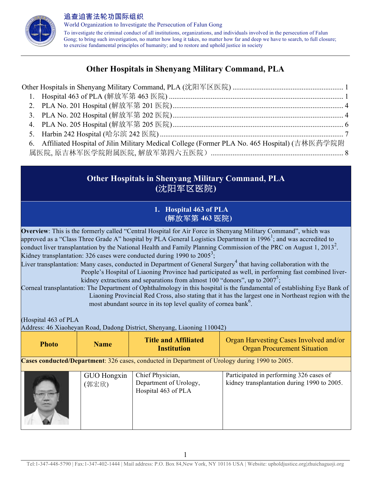

World Organization to Investigate the Persecution of Falun Gong To investigate the criminal conduct of all institutions, organizations, and individuals involved in the persecution of Falun Gong; to bring such investigation, no matter how long it takes, no matter how far and deep we have to search, to full closure; to exercise fundamental principles of humanity; and to restore and uphold justice in society

# **Other Hospitals in Shenyang Military Command, PLA**

| Other Hospitals in Shenyang Military Command, PLA (沈阳军区医院) ………………………………………………………… 1             |  |
|-------------------------------------------------------------------------------------------------|--|
|                                                                                                 |  |
|                                                                                                 |  |
|                                                                                                 |  |
|                                                                                                 |  |
|                                                                                                 |  |
| 6. Affiliated Hospital of Jilin Military Medical College (Former PLA No. 465 Hospital) (吉林医药学院附 |  |
|                                                                                                 |  |

# **Other Hospitals in Shenyang Military Command, PLA (**沈阳军区医院**)**

## **1. Hospital 463 of PLA (**解放军第 **463** 医院**)**

**Overview**: This is the formerly called "Central Hospital for Air Force in Shenyang Military Command", which was approved as a "Class Three Grade A" hospital by PLA General Logistics Department in 1996<sup>1</sup>; and was accredited to conduct liver transplantation by the National Health and Family Planning Commission of the PRC on August 1, 2013<sup>2</sup>. Kidney transplantation: 326 cases were conducted during 1990 to 2005<sup>3</sup>;

Liver transplantation: Many cases, conducted in Department of General Surgery<sup>4</sup> that having collaboration with the People's Hospital of Liaoning Province had participated as well, in performing fast combined liverkidney extractions and separations from almost 100 "donors", up to  $2007^5$ ;

Corneal transplantation: The Department of Ophthalmology in this hospital is the fundamental of establishing Eye Bank of Liaoning Provincial Red Cross, also stating that it has the largest one in Northeast region with the most abundant source in its top level quality of cornea bank<sup>6</sup>.

(Hospital 463 of PLA

Address: 46 Xiaoheyan Road, Dadong District, Shenyang, Liaoning 110042)

| <b>Photo</b> | <b>Name</b>                                                                                    | <b>Title and Affiliated</b><br><b>Institution</b>                 | Organ Harvesting Cases Involved and/or<br><b>Organ Procurement Situation</b>           |  |
|--------------|------------------------------------------------------------------------------------------------|-------------------------------------------------------------------|----------------------------------------------------------------------------------------|--|
|              | Cases conducted/Department: 326 cases, conducted in Department of Urology during 1990 to 2005. |                                                                   |                                                                                        |  |
|              | GUO Hongxin<br>(郭宏欣)                                                                           | Chief Physician,<br>Department of Urology,<br>Hospital 463 of PLA | Participated in performing 326 cases of<br>kidney transplantation during 1990 to 2005. |  |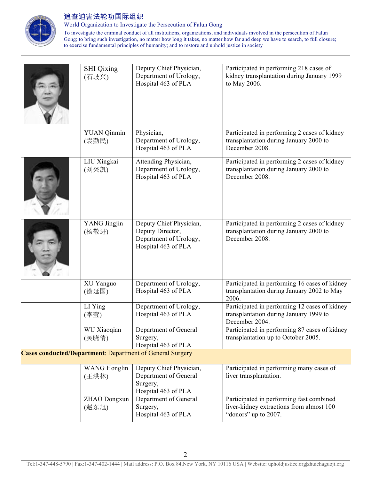

World Organization to Investigate the Persecution of Falun Gong

To investigate the criminal conduct of all institutions, organizations, and individuals involved in the persecution of Falun Gong; to bring such investigation, no matter how long it takes, no matter how far and deep we have to search, to full closure; to exercise fundamental principles of humanity; and to restore and uphold justice in society

| <b>SHI</b> Qixing<br>(石歧兴)   | Deputy Chief Physician,<br>Department of Urology,<br>Hospital 463 of PLA                     | Participated in performing 218 cases of<br>kidney transplantation during January 1999<br>to May 2006.        |
|------------------------------|----------------------------------------------------------------------------------------------|--------------------------------------------------------------------------------------------------------------|
| <b>YUAN</b> Qinmin<br>(袁勤民)  | Physician,<br>Department of Urology,<br>Hospital 463 of PLA                                  | Participated in performing 2 cases of kidney<br>transplantation during January 2000 to<br>December 2008.     |
| LIU Xingkai<br>(刘兴凯)         | Attending Physician,<br>Department of Urology,<br>Hospital 463 of PLA                        | Participated in performing 2 cases of kidney<br>transplantation during January 2000 to<br>December 2008.     |
| YANG Jingjin<br>(杨敬进)        | Deputy Chief Physician,<br>Deputy Director,<br>Department of Urology,<br>Hospital 463 of PLA | Participated in performing 2 cases of kidney<br>transplantation during January 2000 to<br>December 2008.     |
| XU Yanguo<br>(徐延国)           | Department of Urology,<br>Hospital 463 of PLA                                                | Participated in performing 16 cases of kidney<br>transplantation during January 2002 to May<br>2006.         |
| LI Ying<br>(李莹)              | Department of Urology,<br>Hospital 463 of PLA                                                | Participated in performing 12 cases of kidney<br>transplantation during January 1999 to<br>December 2004.    |
| WU Xiaoqian<br>(吴晓倩)         | Department of General<br>Surgery,<br>Hospital 463 of PLA                                     | Participated in performing 87 cases of kidney<br>transplantation up to October 2005.                         |
|                              | <b>Cases conducted/Department: Department of General Surgery</b>                             |                                                                                                              |
| <b>WANG</b> Honglin<br>(王洪林) | Deputy Chief Physician,<br>Department of General<br>Surgery,<br>Hospital 463 of PLA          | Participated in performing many cases of<br>liver transplantation.                                           |
| ZHAO Dongxun<br>(赵东旭)        | Department of General<br>Surgery,<br>Hospital 463 of PLA                                     | Participated in performing fast combined<br>liver-kidney extractions from almost 100<br>"donors" up to 2007. |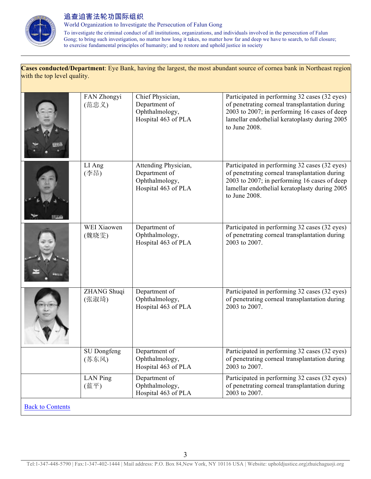

World Organization to Investigate the Persecution of Falun Gong

To investigate the criminal conduct of all institutions, organizations, and individuals involved in the persecution of Falun Gong; to bring such investigation, no matter how long it takes, no matter how far and deep we have to search, to full closure; to exercise fundamental principles of humanity; and to restore and uphold justice in society

#### **Cases conducted/Department**: Eye Bank, having the largest, the most abundant source of cornea bank in Northeast region with the top level quality.

|                         | FAN Zhongyi<br>(范忠义) | Chief Physician,<br>Department of<br>Ophthalmology,<br>Hospital 463 of PLA     | Participated in performing 32 cases (32 eyes)<br>of penetrating corneal transplantation during<br>2003 to 2007; in performing 16 cases of deep<br>lamellar endothelial keratoplasty during 2005<br>to June 2008. |
|-------------------------|----------------------|--------------------------------------------------------------------------------|------------------------------------------------------------------------------------------------------------------------------------------------------------------------------------------------------------------|
|                         | LI Ang<br>(李昂)       | Attending Physician,<br>Department of<br>Ophthalmology,<br>Hospital 463 of PLA | Participated in performing 32 cases (32 eyes)<br>of penetrating corneal transplantation during<br>2003 to 2007; in performing 16 cases of deep<br>lamellar endothelial keratoplasty during 2005<br>to June 2008. |
|                         | WEI Xiaowen<br>(魏晓雯) | Department of<br>Ophthalmology,<br>Hospital 463 of PLA                         | Participated in performing 32 cases (32 eyes)<br>of penetrating corneal transplantation during<br>2003 to 2007.                                                                                                  |
|                         | ZHANG Shuqi<br>(张淑琦) | Department of<br>Ophthalmology,<br>Hospital 463 of PLA                         | Participated in performing 32 cases (32 eyes)<br>of penetrating corneal transplantation during<br>2003 to 2007.                                                                                                  |
|                         | SU Dongfeng<br>(苏东风) | Department of<br>Ophthalmology,<br>Hospital 463 of PLA                         | Participated in performing 32 cases (32 eyes)<br>of penetrating corneal transplantation during<br>2003 to 2007.                                                                                                  |
|                         | LAN Ping<br>(蓝平)     | Department of<br>Ophthalmology,<br>Hospital 463 of PLA                         | Participated in performing 32 cases (32 eyes)<br>of penetrating corneal transplantation during<br>2003 to 2007.                                                                                                  |
| <b>Back to Contents</b> |                      |                                                                                |                                                                                                                                                                                                                  |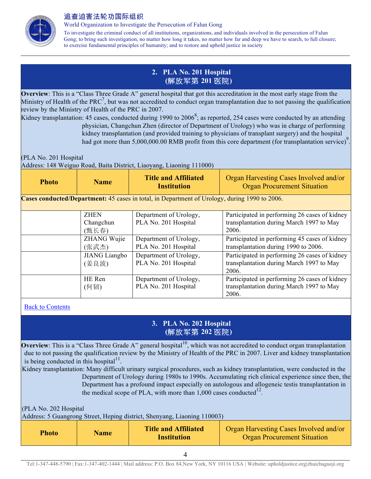

World Organization to Investigate the Persecution of Falun Gong

To investigate the criminal conduct of all institutions, organizations, and individuals involved in the persecution of Falun Gong; to bring such investigation, no matter how long it takes, no matter how far and deep we have to search, to full closure; to exercise fundamental principles of humanity; and to restore and uphold justice in society

### **2. PLA No. 201 Hospital (**解放军第 **201** 医院**)**

**Overview**: This is a "Class Three Grade A" general hospital that got this accreditation in the most early stage from the Ministry of Health of the PRC<sup>7</sup>, but was not accredited to conduct organ transplantation due to not passing the qualification review by the Ministry of Health of the PRC in 2007.

Kidney transplantation: 45 cases, conducted during 1990 to  $2006^8$ ; as reported, 254 cases were conducted by an attending physician, Changchun Zhen (director of Department of Urology) who was in charge of performing kidney transplantation (and provided training to physicians of transplant surgery) and the hospital had got more than 5,000,000.00 RMB profit from this core department (for transplantation service)<sup>9</sup> .

(PLA No. 201 Hospital

Address: 148 Weiguo Road, Baita District, Liaoyang, Liaoning 111000)

| Photo | <b>Name</b> | <b>Title and Affiliated</b><br><b>Institution</b> | Organ Harvesting Cases Involved and/or<br><b>Organ Procurement Situation</b> |
|-------|-------------|---------------------------------------------------|------------------------------------------------------------------------------|
|-------|-------------|---------------------------------------------------|------------------------------------------------------------------------------|

**Cases conducted/Department:** 45 cases in total, in Department of Urology, during 1990 to 2006.

| <b>ZHEN</b>          | Department of Urology, | Participated in performing 26 cases of kidney |
|----------------------|------------------------|-----------------------------------------------|
| Changchun            | PLA No. 201 Hospital   | transplantation during March 1997 to May      |
| (甄长春)                |                        | 2006.                                         |
| ZHANG Wujie          | Department of Urology, | Participated in performing 45 cases of kidney |
| (张武杰)                | PLA No. 201 Hospital   | transplantation during 1990 to 2006.          |
| <b>JIANG</b> Liangbo | Department of Urology, | Participated in performing 26 cases of kidney |
| (姜良波)                | PLA No. 201 Hospital   | transplantation during March 1997 to May      |
|                      |                        | 2006.                                         |
| HE Ren               | Department of Urology, | Participated in performing 26 cases of kidney |
| (何韧)                 | PLA No. 201 Hospital   | transplantation during March 1997 to May      |
|                      |                        | 2006.                                         |

Back to Contents

# **3. PLA No. 202 Hospital (**解放军第 **202** 医院**)**

**Overview**: This is a "Class Three Grade A" general hospital<sup>10</sup>, which was not accredited to conduct organ transplantation due to not passing the qualification review by the Ministry of Health of the PRC in 2007. Liver and kidney transplantation is being conducted in this hospital $11$ .

Kidney transplantation: Many difficult urinary surgical procedures, such as kidney transplantation, were conducted in the Department of Urology during 1980s to 1990s. Accumulating rich clinical experience since then, the Department has a profound impact especially on autologous and allogeneic testis transplantation in the medical scope of PLA, with more than  $1,000$  cases conducted<sup>12</sup>.

(PLA No. 202 Hospital

Address: 5 Guangrong Street, Heping district, Shenyang, Liaoning 110003)

| <b>Photo</b> | <b>Name</b> | <b>Title and Affiliated</b><br><b>Institution</b> | Organ Harvesting Cases Involved and/or<br><b>Organ Procurement Situation</b> |
|--------------|-------------|---------------------------------------------------|------------------------------------------------------------------------------|
|--------------|-------------|---------------------------------------------------|------------------------------------------------------------------------------|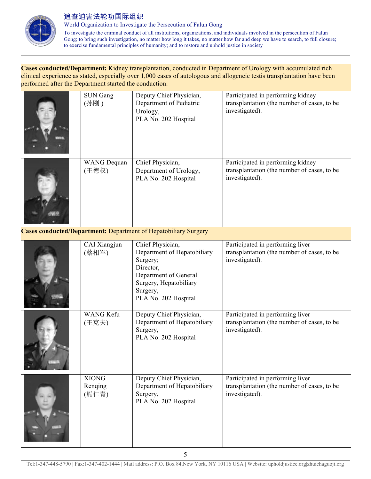

World Organization to Investigate the Persecution of Falun Gong

To investigate the criminal conduct of all institutions, organizations, and individuals involved in the persecution of Falun Gong; to bring such investigation, no matter how long it takes, no matter how far and deep we have to search, to full closure; to exercise fundamental principles of humanity; and to restore and uphold justice in society

#### **Cases conducted/Department:** Kidney transplantation, conducted in Department of Urology with accumulated rich clinical experience as stated, especially over 1,000 cases of autologous and allogeneic testis transplantation have been performed after the Department started the conduction.

| <b>SUN Gang</b><br>(孙刚)          | Deputy Chief Physician,<br>Department of Pediatric<br>Urology,<br>PLA No. 202 Hospital                                                                          | Participated in performing kidney<br>transplantation (the number of cases, to be<br>investigated). |
|----------------------------------|-----------------------------------------------------------------------------------------------------------------------------------------------------------------|----------------------------------------------------------------------------------------------------|
| <b>WANG</b> Dequan<br>(王德权)      | Chief Physician,<br>Department of Urology,<br>PLA No. 202 Hospital                                                                                              | Participated in performing kidney<br>transplantation (the number of cases, to be<br>investigated). |
|                                  | Cases conducted/Department: Department of Hepatobiliary Surgery                                                                                                 |                                                                                                    |
| CAI Xiangjun<br>(蔡相军)            | Chief Physician,<br>Department of Hepatobiliary<br>Surgery;<br>Director,<br>Department of General<br>Surgery, Hepatobiliary<br>Surgery,<br>PLA No. 202 Hospital | Participated in performing liver<br>transplantation (the number of cases, to be<br>investigated).  |
| <b>WANG Kefu</b><br>(王克夫)        | Deputy Chief Physician,<br>Department of Hepatobiliary<br>Surgery,<br>PLA No. 202 Hospital                                                                      | Participated in performing liver<br>transplantation (the number of cases, to be<br>investigated).  |
| <b>XIONG</b><br>Renging<br>(熊仁青) | Deputy Chief Physician,<br>Department of Hepatobiliary<br>Surgery,<br>PLA No. 202 Hospital                                                                      | Participated in performing liver<br>transplantation (the number of cases, to be<br>investigated).  |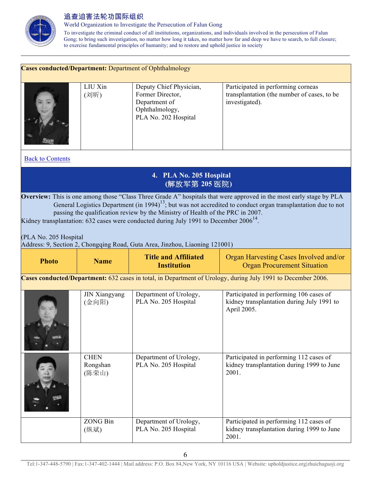

Rongshan (陈荣山)

World Organization to Investigate the Persecution of Falun Gong

To investigate the criminal conduct of all institutions, organizations, and individuals involved in the persecution of Falun Gong; to bring such investigation, no matter how long it takes, no matter how far and deep we have to search, to full closure; to exercise fundamental principles of humanity; and to restore and uphold justice in society

|                                                                                                              |                               | <b>Cases conducted/Department: Department of Ophthalmology</b>                                                                                                                                                                                               |                                                                                                                                                                                                                                                  |  |
|--------------------------------------------------------------------------------------------------------------|-------------------------------|--------------------------------------------------------------------------------------------------------------------------------------------------------------------------------------------------------------------------------------------------------------|--------------------------------------------------------------------------------------------------------------------------------------------------------------------------------------------------------------------------------------------------|--|
|                                                                                                              | LIU Xin<br>(刘昕)               | Deputy Chief Physician,<br>Former Director,<br>Department of<br>Ophthalmology,<br>PLA No. 202 Hospital                                                                                                                                                       | Participated in performing corneas<br>transplantation (the number of cases, to be<br>investigated).                                                                                                                                              |  |
| <b>Back to Contents</b>                                                                                      |                               |                                                                                                                                                                                                                                                              |                                                                                                                                                                                                                                                  |  |
|                                                                                                              |                               | 4. PLA No. 205 Hospital<br>(解放军第 205 医院)                                                                                                                                                                                                                     |                                                                                                                                                                                                                                                  |  |
| (PLA No. 205 Hospital                                                                                        |                               | passing the qualification review by the Ministry of Health of the PRC in 2007.<br>Kidney transplantation: 632 cases were conducted during July 1991 to December $2006^{14}$ .<br>Address: 9, Section 2, Chongqing Road, Guta Area, Jinzhou, Liaoning 121001) | Overview: This is one among those "Class Three Grade A" hospitals that were approved in the most early stage by PLA<br>General Logistics Department (in 1994) <sup>13</sup> ; but was not accredited to conduct organ transplantation due to not |  |
| <b>Photo</b>                                                                                                 | <b>Name</b>                   | <b>Title and Affiliated</b><br><b>Institution</b>                                                                                                                                                                                                            | Organ Harvesting Cases Involved and/or<br><b>Organ Procurement Situation</b>                                                                                                                                                                     |  |
| Cases conducted/Department: 632 cases in total, in Department of Urology, during July 1991 to December 2006. |                               |                                                                                                                                                                                                                                                              |                                                                                                                                                                                                                                                  |  |
|                                                                                                              | <b>JIN Xiangyang</b><br>(金向阳) | Department of Urology,<br>PLA No. 205 Hospital                                                                                                                                                                                                               | Participated in performing 106 cases of<br>kidney transplantation during July 1991 to<br>April 2005.                                                                                                                                             |  |
|                                                                                                              | <b>CHEN</b>                   | Department of Urology,                                                                                                                                                                                                                                       | Participated in performing 112 cases of                                                                                                                                                                                                          |  |

PLA No. 205 Hospital

Tel:1-347-448-5790 | Fax:1-347-402-1444 | Mail address: P.O. Box 84,New York, NY 10116 USA | Website: upholdjustice.org|zhuichaguoji.org

kidney transplantation during 1999 to June

2001.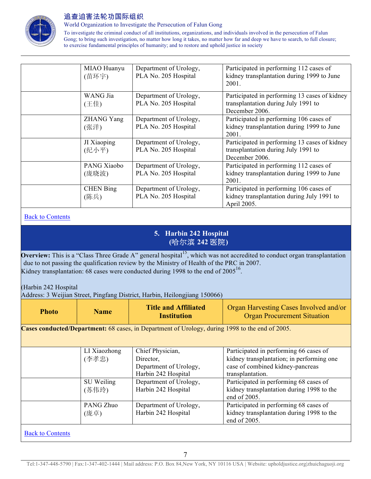

World Organization to Investigate the Persecution of Falun Gong

To investigate the criminal conduct of all institutions, organizations, and individuals involved in the persecution of Falun Gong; to bring such investigation, no matter how long it takes, no matter how far and deep we have to search, to full closure; to exercise fundamental principles of humanity; and to restore and uphold justice in society

| MIAO Huanyu<br>(苗环宇)      | Department of Urology,<br>PLA No. 205 Hospital | Participated in performing 112 cases of<br>kidney transplantation during 1999 to June<br>2001.         |
|---------------------------|------------------------------------------------|--------------------------------------------------------------------------------------------------------|
| WANG Jia<br>(王佳)          | Department of Urology,<br>PLA No. 205 Hospital | Participated in performing 13 cases of kidney<br>transplantation during July 1991 to<br>December 2006. |
| <b>ZHANG Yang</b><br>(张洋) | Department of Urology,<br>PLA No. 205 Hospital | Participated in performing 106 cases of<br>kidney transplantation during 1999 to June<br>2001.         |
| JI Xiaoping<br>(纪小平)      | Department of Urology,<br>PLA No. 205 Hospital | Participated in performing 13 cases of kidney<br>transplantation during July 1991 to<br>December 2006. |
| PANG Xiaobo<br>(庞晓波)      | Department of Urology,<br>PLA No. 205 Hospital | Participated in performing 112 cases of<br>kidney transplantation during 1999 to June<br>2001.         |
| <b>CHEN</b> Bing<br>(陈兵)  | Department of Urology,<br>PLA No. 205 Hospital | Participated in performing 106 cases of<br>kidney transplantation during July 1991 to<br>April 2005.   |

#### Back to Contents

## **5. Harbin 242 Hospital (**哈尔滨 **242** 医院**)**

**Overview:** This is a "Class Three Grade A" general hospital<sup>15</sup>, which was not accredited to conduct organ transplantation due to not passing the qualification review by the Ministry of Health of the PRC in 2007. Kidney transplantation: 68 cases were conducted during 1998 to the end of  $2005^{16}$ .

(Harbin 242 Hospital

Address: 3 Weijian Street, Pingfang District, Harbin, Heilongjiang 150066)

| Photo | <b>Name</b> | <b>Title and Affiliated</b><br><b>Institution</b> | Organ Harvesting Cases Involved and/or<br><b>Organ Procurement Situation</b> |
|-------|-------------|---------------------------------------------------|------------------------------------------------------------------------------|
|-------|-------------|---------------------------------------------------|------------------------------------------------------------------------------|

**Cases conducted/Department:** 68 cases, in Department of Urology, during 1998 to the end of 2005.

| LI Xiaozhong | Chief Physician,       | Participated in performing 66 cases of    |
|--------------|------------------------|-------------------------------------------|
| (李孝忠)        | Director,              | kidney transplantation; in performing one |
|              | Department of Urology, | case of combined kidney-pancreas          |
|              | Harbin 242 Hospital    | transplantation.                          |
| SU Weiling   | Department of Urology, | Participated in performing 68 cases of    |
| (苏伟玲)        | Harbin 242 Hospital    | kidney transplantation during 1998 to the |
|              |                        | end of 2005.                              |
| PANG Zhuo    | Department of Urology, | Participated in performing 68 cases of    |
| (庞卓)         | Harbin 242 Hospital    | kidney transplantation during 1998 to the |
|              |                        | end of 2005.                              |

Back to Contents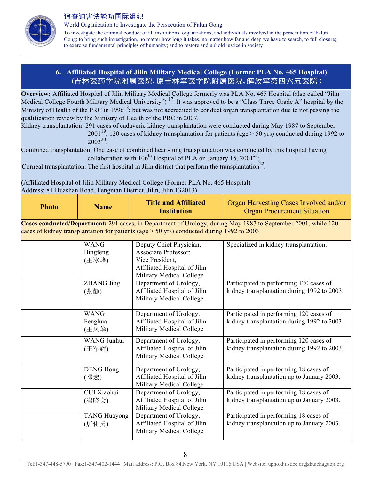

World Organization to Investigate the Persecution of Falun Gong

To investigate the criminal conduct of all institutions, organizations, and individuals involved in the persecution of Falun Gong; to bring such investigation, no matter how long it takes, no matter how far and deep we have to search, to full closure; to exercise fundamental principles of humanity; and to restore and uphold justice in society

### **6. Affiliated Hospital of Jilin Military Medical College (Former PLA No. 465 Hospital) (**吉林医药学院附属医院**,** 原吉林军医学院附属医院**,** 解放军第四六五医院)

**Overview:** Affiliated Hospital of Jilin Military Medical College formerly was PLA No. 465 Hospital (also called "Jilin Medical College Fourth Military Medical University")<sup>17</sup>. It was approved to be a "Class Three Grade A" hospital by the Ministry of Health of the PRC in 1996<sup>18</sup>; but was not accredited to conduct organ transplantation due to not passing the qualification review by the Ministry of Health of the PRC in 2007.

Kidney transplantation: 291 cases of cadaveric kidney transplantation were conducted during May 1987 to September

2001<sup>19</sup>; 120 cases of kidney transplantation for patients (age  $> 50$  yrs) conducted during 1992 to  $2003^{20}$ ;

Combined transplantation: One case of combined heart-lung transplantation was conducted by this hospital having collaboration with  $106^{th}$  Hospital of PLA on January 15, 2001<sup>21</sup>;

Corneal transplantation: The first hospital in Jilin district that perform the transplantation<sup>22</sup>

**(**Affiliated Hospital of Jilin Military Medical College (Former PLA No. 465 Hospital) Address: 81 Huashan Road, Fengman District, Jilin, Jilin 132013**)**

| <b>Photo</b>                                                                                                                                                                                                  | <b>Name</b>                      | <b>Title and Affiliated</b><br><b>Institution</b>                                                                              | Organ Harvesting Cases Involved and/or<br><b>Organ Procurement Situation</b>           |  |  |  |
|---------------------------------------------------------------------------------------------------------------------------------------------------------------------------------------------------------------|----------------------------------|--------------------------------------------------------------------------------------------------------------------------------|----------------------------------------------------------------------------------------|--|--|--|
| Cases conducted/Department: 291 cases, in Department of Urology, during May 1987 to September 2001, while 120<br>cases of kidney transplantation for patients (age $> 50$ yrs) conducted during 1992 to 2003. |                                  |                                                                                                                                |                                                                                        |  |  |  |
|                                                                                                                                                                                                               | <b>WANG</b><br>Bingfeng<br>(王冰峰) | Deputy Chief Physician,<br>Associate Professor;<br>Vice President,<br>Affiliated Hospital of Jilin<br>Military Medical College | Specialized in kidney transplantation.                                                 |  |  |  |
|                                                                                                                                                                                                               | <b>ZHANG Jing</b><br>(张静)        | Department of Urology,<br>Affiliated Hospital of Jilin<br>Military Medical College                                             | Participated in performing 120 cases of<br>kidney transplantation during 1992 to 2003. |  |  |  |
|                                                                                                                                                                                                               | <b>WANG</b><br>Fenghua<br>(王凤华)  | Department of Urology,<br>Affiliated Hospital of Jilin<br>Military Medical College                                             | Participated in performing 120 cases of<br>kidney transplantation during 1992 to 2003. |  |  |  |
|                                                                                                                                                                                                               | WANG Junhui<br>(王军辉)             | Department of Urology,<br>Affiliated Hospital of Jilin<br>Military Medical College                                             | Participated in performing 120 cases of<br>kidney transplantation during 1992 to 2003. |  |  |  |
|                                                                                                                                                                                                               | <b>DENG Hong</b><br>(邓宏)         | Department of Urology,<br>Affiliated Hospital of Jilin<br>Military Medical College                                             | Participated in performing 18 cases of<br>kidney transplantation up to January 2003.   |  |  |  |
|                                                                                                                                                                                                               | CUI Xiaohui<br>(崔晓会)             | Department of Urology,<br>Affiliated Hospital of Jilin<br>Military Medical College                                             | Participated in performing 18 cases of<br>kidney transplantation up to January 2003.   |  |  |  |
|                                                                                                                                                                                                               | <b>TANG Huayong</b><br>(唐化勇)     | Department of Urology,<br>Affiliated Hospital of Jilin<br>Military Medical College                                             | Participated in performing 18 cases of<br>kidney transplantation up to January 2003    |  |  |  |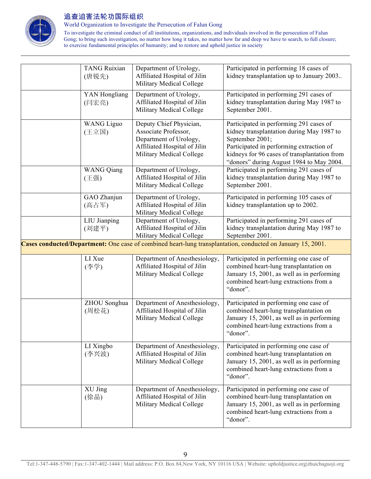

World Organization to Investigate the Persecution of Falun Gong

To investigate the criminal conduct of all institutions, organizations, and individuals involved in the persecution of Falun Gong; to bring such investigation, no matter how long it takes, no matter how far and deep we have to search, to full closure; to exercise fundamental principles of humanity; and to restore and uphold justice in society

|                                                                                                             | <b>TANG Ruixian</b><br>(唐锐先) | Department of Urology,<br>Affiliated Hospital of Jilin<br>Military Medical College                                                    | Participated in performing 18 cases of<br>kidney transplantation up to January 2003                                                                                                                                                             |  |  |
|-------------------------------------------------------------------------------------------------------------|------------------------------|---------------------------------------------------------------------------------------------------------------------------------------|-------------------------------------------------------------------------------------------------------------------------------------------------------------------------------------------------------------------------------------------------|--|--|
|                                                                                                             | YAN Hongliang<br>(闫宏亮)       | Department of Urology,<br>Affiliated Hospital of Jilin<br>Military Medical College                                                    | Participated in performing 291 cases of<br>kidney transplantation during May 1987 to<br>September 2001.                                                                                                                                         |  |  |
|                                                                                                             | <b>WANG</b> Liguo<br>(王立国)   | Deputy Chief Physician,<br>Associate Professor,<br>Department of Urology,<br>Affiliated Hospital of Jilin<br>Military Medical College | Participated in performing 291 cases of<br>kidney transplantation during May 1987 to<br>September 2001;<br>Participated in performing extraction of<br>kidneys for 96 cases of transplantation from<br>"donors" during August 1984 to May 2004. |  |  |
|                                                                                                             | <b>WANG Qiang</b><br>(王强)    | Department of Urology,<br>Affiliated Hospital of Jilin<br>Military Medical College                                                    | Participated in performing 291 cases of<br>kidney transplantation during May 1987 to<br>September 2001.                                                                                                                                         |  |  |
|                                                                                                             | GAO Zhanjun<br>(高占军)         | Department of Urology,<br>Affiliated Hospital of Jilin<br>Military Medical College                                                    | Participated in performing 105 cases of<br>kidney transplantation up to 2002.                                                                                                                                                                   |  |  |
|                                                                                                             | LIU Jianping<br>(刘建平)        | Department of Urology,<br>Affiliated Hospital of Jilin<br>Military Medical College                                                    | Participated in performing 291 cases of<br>kidney transplantation during May 1987 to<br>September 2001.                                                                                                                                         |  |  |
| Cases conducted/Department: One case of combined heart-lung transplantation, conducted on January 15, 2001. |                              |                                                                                                                                       |                                                                                                                                                                                                                                                 |  |  |
|                                                                                                             | LI Xue<br>(李学)               | Department of Anesthesiology,<br>Affiliated Hospital of Jilin<br>Military Medical College                                             | Participated in performing one case of<br>combined heart-lung transplantation on<br>January 15, 2001, as well as in performing<br>combined heart-lung extractions from a<br>"donor".                                                            |  |  |
|                                                                                                             | ZHOU Songhua<br>(周松花)        | Department of Anesthesiology,<br>Affiliated Hospital of Jilin<br>Military Medical College                                             | Participated in performing one case of<br>combined heart-lung transplantation on<br>January 15, 2001, as well as in performing<br>combined heart-lung extractions from a<br>"donor".                                                            |  |  |
|                                                                                                             | LI Xingbo<br>(李兴波)           | Department of Anesthesiology,<br>Affiliated Hospital of Jilin<br>Military Medical College                                             | Participated in performing one case of<br>combined heart-lung transplantation on<br>January 15, 2001, as well as in performing<br>combined heart-lung extractions from a<br>"donor".                                                            |  |  |
|                                                                                                             | XU Jing<br>(徐晶)              | Department of Anesthesiology,<br>Affiliated Hospital of Jilin<br>Military Medical College                                             | Participated in performing one case of<br>combined heart-lung transplantation on<br>January 15, 2001, as well as in performing<br>combined heart-lung extractions from a<br>"donor".                                                            |  |  |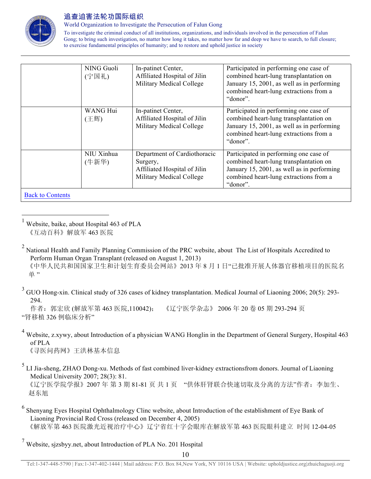

World Organization to Investigate the Persecution of Falun Gong

To investigate the criminal conduct of all institutions, organizations, and individuals involved in the persecution of Falun Gong; to bring such investigation, no matter how long it takes, no matter how far and deep we have to search, to full closure; to exercise fundamental principles of humanity; and to restore and uphold justice in society

|                         | NING Guoli<br>(宁国礼) | In-patinet Center,<br>Affiliated Hospital of Jilin<br>Military Medical College                       | Participated in performing one case of<br>combined heart-lung transplantation on<br>January 15, 2001, as well as in performing<br>combined heart-lung extractions from a<br>"donor". |
|-------------------------|---------------------|------------------------------------------------------------------------------------------------------|--------------------------------------------------------------------------------------------------------------------------------------------------------------------------------------|
|                         | WANG Hui<br>(王辉)    | In-patinet Center,<br>Affiliated Hospital of Jilin<br>Military Medical College                       | Participated in performing one case of<br>combined heart-lung transplantation on<br>January 15, 2001, as well as in performing<br>combined heart-lung extractions from a<br>"donor". |
|                         | NIU Xinhua<br>(牛新华) | Department of Cardiothoracic<br>Surgery,<br>Affiliated Hospital of Jilin<br>Military Medical College | Participated in performing one case of<br>combined heart-lung transplantation on<br>January 15, 2001, as well as in performing<br>combined heart-lung extractions from a<br>"donor". |
| <b>Back to Contents</b> |                     |                                                                                                      |                                                                                                                                                                                      |

 $<sup>1</sup>$  Website, baike, about Hospital 463 of PLA</sup> 《互动百科》解放军 463 医院

<sup>2</sup> National Health and Family Planning Commission of the PRC website, about The List of Hospitals Accredited to Perform Human Organ Transplant (released on August 1, 2013)

 《中华人民共和国国家卫生和计划生育委员会网站》2013 年 8 月 1 日"已批准开展人体器官移植项目的医院名 单"

<sup>3</sup> GUO Hong-xin. Clinical study of 326 cases of kidney transplantation. Medical Journal of Liaoning 2006; 20(5): 293-294.

作者:郭宏欣 (解放军第 463 医院,110042); 《辽宁医学杂志》 2006 年 20 卷 05 期 293-294 页 "肾移植 326 例临床分析"

<sup>4</sup> Website, z.xywy, about Introduction of a physician WANG Honglin in the Department of General Surgery, Hospital 463 of PLA

《寻医问药网》王洪林基本信息

- <sup>5</sup> LI Jia-sheng, ZHAO Dong-xu. Methods of fast combined liver-kidney extractionsfrom donors. Journal of Liaoning Medical University 2007; 28(3): 81. 《辽宁医学院学报》2007年第3期 81-81页共1页 "供体肝肾联合快速切取及分离的方法"作者: 李加生、 赵东旭
- <sup>6</sup> Shenyang Eyes Hospital Ophthalmology Clinc website, about Introduction of the establishment of Eye Bank of Liaoning Provincial Red Cross (released on December 4, 2005) 《解放军第 463 医院激光近视治疗中心》辽宁省红十字会眼库在解放军第 463 医院眼科建立 时间 12-04-05
- <sup>7</sup> Website, sjzsbyy.net, about Introduction of PLA No. 201 Hospital

Tel:1-347-448-5790 | Fax:1-347-402-1444 | Mail address: P.O. Box 84,New York, NY 10116 USA | Website: upholdjustice.org|zhuichaguoji.org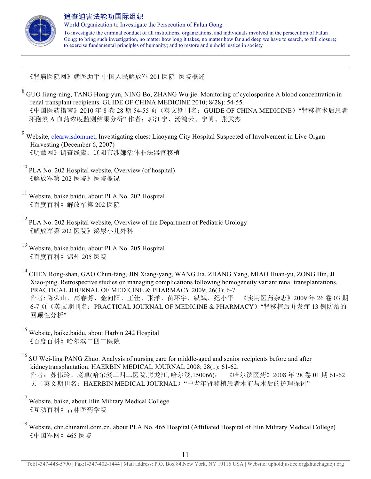

 $\overline{a}$ 

### 追查迫害法轮功国际组织

World Organization to Investigate the Persecution of Falun Gong To investigate the criminal conduct of all institutions, organizations, and individuals involved in the persecution of Falun Gong; to bring such investigation, no matter how long it takes, no matter how far and deep we have to search, to full closure; to exercise fundamental principles of humanity; and to restore and uphold justice in society

《肾病医院网》就医助手 中国人民解放军 201 医院 医院概述

<sup>8</sup> GUO Jiang-ning, TANG Hong-yun, NING Bo, ZHANG Wu-jie. Monitoring of cyclosporine A blood concentration in renal transplant recipients. GUIDE OF CHINA MEDICINE 2010; 8(28): 54-55. 《中国医药指南》2010年8卷28期54-55页(英文期刊名: GUIDE OF CHINA MEDICINE)"肾移植术后患者 环孢素 A 血药浓度监测结果分析" 作者:郭江宁、汤鸿云、宁博、张武杰

Website, clearwisdom.net, Investigating clues: Liaoyang City Hospital Suspected of Involvement in Live Organ Harvesting (December 6, 2007) 《明慧网》调查线索:辽阳市涉嫌活体非法器官移植

- <sup>10</sup> PLA No. 202 Hospital website, Overview (of hospital) 《解放军第 202 医院》医院概况
- <sup>11</sup> Website, baike.baidu, about PLA No. 202 Hospital 《百度百科》解放军第 202 医院
- <sup>12</sup> PLA No. 202 Hospital website, Overview of the Department of Pediatric Urology 《解放军第 202 医院》泌尿小儿外科
- <sup>13</sup> Website, baike.baidu, about PLA No. 205 Hospital 《百度百科》锦州 205 医院

<sup>14</sup> CHEN Rong-shan, GAO Chun-fang, JIN Xiang-yang, WANG Jia, ZHANG Yang, MIAO Huan-yu, ZONG Bin, JI Xiao-ping. Retrospective studies on managing complications following homogeneity variant renal transplantations. PRACTICAL JOURNAL OF MEDICINE & PHARMACY 2009; 26(3): 6-7. 作者: 陈荣山、高春芳、金向阳、王佳、张洋、苗环宇、纵斌、纪小平 《实用医药杂志》2009 年 26 卷 03 期 6-7 页(英文期刊名: PRACTICAL JOURNAL OF MEDICINE & PHARMACY) "肾移植后并发症 13 例防治的 回顾性分析"

- <sup>15</sup> Website, baike.baidu, about Harbin 242 Hospital 《百度百科》哈尔滨二四二医院
- <sup>16</sup> SU Wei-ling PANG Zhuo. Analysis of nursing care for middle-aged and senior recipients before and after kidneytransplantation. HAERBIN MEDICAL JOURNAL 2008; 28(1): 61-62. 作者:苏伟玲、庞卓(哈尔滨二四二医院,黑龙江, 哈尔滨,150066); 《哈尔滨医药》2008 年 28 卷 01 期 61-62 页(英文期刊名: HAERBIN MEDICAL JOURNAL)"中老年肾移植患者术前与术后的护理探讨"
- <sup>17</sup> Website, baike, about Jilin Military Medical College 《互动百科》吉林医药学院
- <sup>18</sup> Website, chn.chinamil.com.cn, about PLA No. 465 Hospital (Affiliated Hospital of Jilin Military Medical College) 《中国军网》465 医院